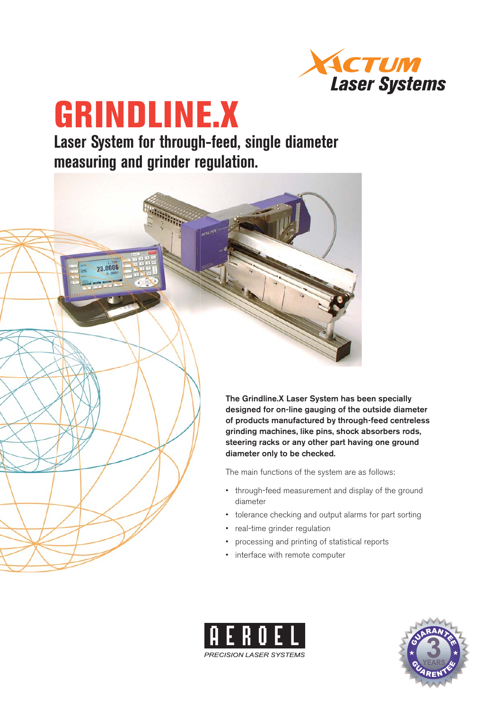

# **GRINDLINE.X**

23.0006

**Laser System for through-feed, single diameter measuring and grinder regulation.**

> **The Grindline.X Laser System has been specially designed for on-line gauging of the outside diameter of products manufactured by through-feed centreless grinding machines, like pins, shock absorbers rods, steering racks or any other part having one ground diameter only to be checked.**

The main functions of the system are as follows:

- through-feed measurement and display of the ground diameter
- tolerance checking and output alarms for part sorting
- real-time grinder regulation •
- processing and printing of statistical reports •
- interface with remote computer



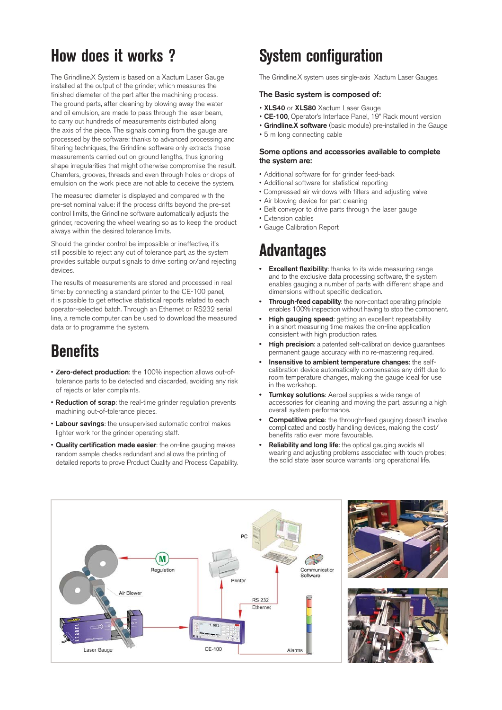## **How does it works ?**

The Grindline.X System is based on a Xactum Laser Gauge installed at the output of the grinder, which measures the finished diameter of the part after the machining process. The ground parts, after cleaning by blowing away the water and oil emulsion, are made to pass through the laser beam, to carry out hundreds of measurements distributed along the axis of the piece. The signals coming from the gauge are processed by the software: thanks to advanced processing and filtering techniques, the Grindline software only extracts those measurements carried out on ground lengths, thus ignoring shape irregularities that might otherwise compromise the result. Chamfers, grooves, threads and even through holes or drops of emulsion on the work piece are not able to deceive the system.

The measured diameter is displayed and compared with the pre-set nominal value: if the process drifts beyond the pre-set control limits, the Grindline software automatically adjusts the grinder, recovering the wheel wearing so as to keep the product always within the desired tolerance limits.

Should the grinder control be impossible or ineffective, it's still possible to reject any out of tolerance part, as the system provides suitable output signals to drive sorting or/and rejecting devices.

The results of measurements are stored and processed in real time: by connecting a standard printer to the CE-100 panel, it is possible to get effective statistical reports related to each operator-selected batch. Through an Ethernet or RS232 serial line, a remote computer can be used to download the measured data or to programme the system.

## **Benefits**

- **Zero-defect production**: the 100% inspection allows out-oftolerance parts to be detected and discarded, avoiding any risk of rejects or later complaints.
- **Reduction of scrap**: the real-time grinder regulation prevents machining out-of-tolerance pieces.
- **Labour savings**: the unsupervised automatic control makes lighter work for the grinder operating staff.
- **Quality certification made easier**: the on-line gauging makes random sample checks redundant and allows the printing of detailed reports to prove Product Quality and Process Capability.

# **System configuration**

The Grindline.X system uses single-axis Xactum Laser Gauges.

### **The Basic system is composed of:**

- **XLS40** or **XLS80** Xactum Laser Gauge
- **CE-100**, Operator's Interface Panel, 19" Rack mount version
- **Grindline.X software** (basic module) pre-installed in the Gauge
- 5 m long connecting cable

### **Some options and accessories available to complete the system are:**

- Additional software for for grinder feed-back
- Additional software for statistical reporting
- Compressed air windows with filters and adjusting valve
- Air blowing device for part cleaning
- Belt conveyor to drive parts through the laser gauge
- Extension cables
- Gauge Calibration Report

# **Advantages**

- **Excellent flexibility**: thanks to its wide measuring range and to the exclusive data processing software, the system enables gauging a number of parts with different shape and dimensions without specific dedication. **•**
- **Through-feed capability**: the non-contact operating principle enables 100% inspection without having to stop the component. **•**
- **High gauging speed**: getting an excellent repeatability in a short measuring time makes the on-line application consistent with high production rates. **•**
- **High precision**: a patented self-calibration device guarantees permanent gauge accuracy with no re-mastering required. **•**
- **Insensitive to ambient temperature changes**: the selfcalibration device automatically compensates any drift due to room temperature changes, making the gauge ideal for use in the workshop. **•**
- **Turnkey solutions**: Aeroel supplies a wide range of accessories for cleaning and moving the part, assuring a high overall system performance. **•**
- **Competitive price**: the through-feed gauging doesn't involve complicated and costly handling devices, making the cost/ benefits ratio even more favourable. **•**
- **Reliability and long life**: the optical gauging avoids all wearing and adjusting problems associated with touch probes; the solid state laser source warrants long operational life. **•**





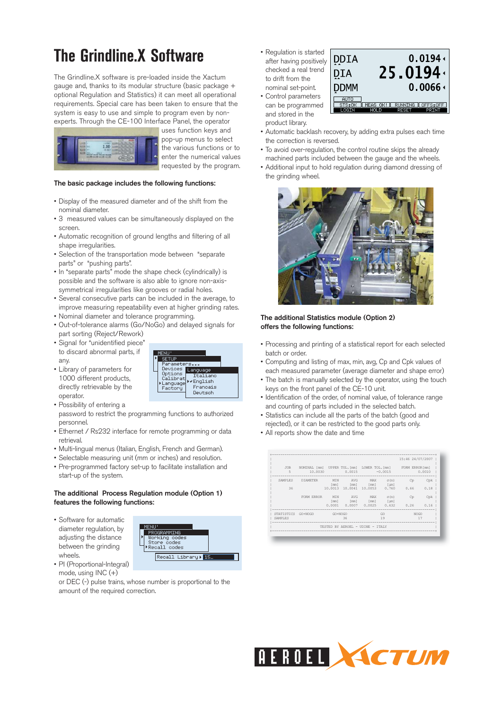# **The Grindline.X Software**

The Grindline.X software is pre-loaded inside the Xactum gauge and, thanks to its modular structure (basic package + optional Regulation and Statistics) it can meet all operational requirements. Special care has been taken to ensure that the system is easy to use and simple to program even by nonexperts. Through the CE-100 Interface Panel, the operator



uses function keys and pop-up menus to select the various functions or to enter the numerical values requested by the program.

### **The basic package includes the following functions:**

- Display of the measured diameter and of the shift from the nominal diameter.
- 3 measured values can be simultaneously displayed on the screen.
- Automatic recognition of ground lengths and filtering of all shape irregularities.
- Selection of the transportation mode between "separate parts" or "pushing parts".
- In "separate parts" mode the shape check (cylindrically) is possible and the software is also able to ignore non-axissymmetrical irregularities like grooves or radial holes.
- Several consecutive parts can be included in the average, to improve measuring repeatability even at higher grinding rates.
- Nominal diameter and tolerance programming.
- Out-of-tolerance alarms (Go/NoGo) and delayed signals for part sorting (Reject/Rework)
- Signal for "unidentified piece" to discard abnormal parts, if any.
- Library of parameters for 1000 different products, directly retrievable by the operator.



password to restrict the programming functions to authorized personnel.

- Ethernet / Rs232 interface for remote programming or data retrieval.
- Multi-lingual menus (Italian, English, French and German).
- Selectable measuring unit (mm or inches) and resolution.
- Pre-programmed factory set-up to facilitate installation and start-up of the system.

### **The additional Process Regulation module (Option 1) features the following functions:**

• Software for automatic diameter regulation, by adjusting the distance between the grinding wheels. • PI (Proportional-Integral)



Language English Francais

Deutsch

actory

mode, using INC (+) or DEC (-) pulse trains, whose number is proportional to the amount of the required correction.

• Regulation is started after having positively checked a real trend to drift from the nominal set-point. • Control parameters

and stored in the product library.



- Automatic backlash recovery, by adding extra pulses each time the correction is reversed.
- To avoid over-regulation, the control routine skips the already machined parts included between the gauge and the wheels.
- Additional input to hold regulation during diamond dressing of the grinding wheel.



### **The additional Statistics module (Option 2) offers the following functions:**

- Processing and printing of a statistical report for each selected batch or order.
- Computing and listing of max, min, avg, Cp and Cpk values of each measured parameter (average diameter and shape error)
- The batch is manually selected by the operator, using the touch keys on the front panel of the CE-10 unit.
- Identification of the order, of nominal value, of tolerance range and counting of parts included in the selected batch.
- Statistics can include all the parts of the batch (good and rejected), or it can be restricted to the good parts only.
- All reports show the date and time